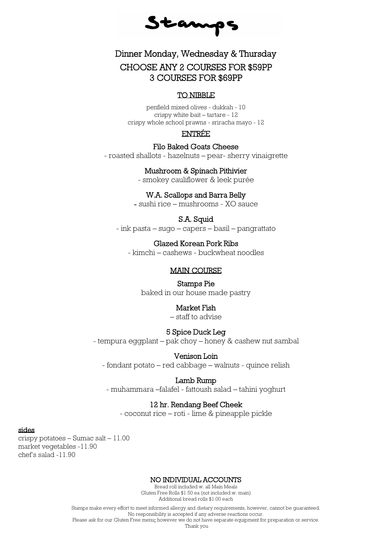Stamps

# Dinner Monday, Wednesday & Thursday CHOOSE ANY 2 COURSES FOR \$59PP 3 COURSES FOR \$69PP

# TO NIBBLE

penfield mixed olives - dukkah - 10 crispy white bait – tartare - 12 crispy whole school prawns - sriracha mayo - 12

# ENTRÉE

#### Filo Baked Goats Cheese

- roasted shallots - hazelnuts – pear- sherry vinaigrette

### Mushroom & Spinach Pithivier

- smokey cauliflower & leek purée

# W.A. Scallops and Barra Belly

- sushi rice – mushrooms - XO sauce

# S.A. Squid

- ink pasta – sugo – capers – basil – pangrattato

# Glazed Korean Pork Ribs

- kimchi – cashews - buckwheat noodles

# MAIN COURSE

#### Stamps Pie

baked in our house made pastry

#### Market Fish

– staff to advise

#### 5 Spice Duck Leg

- tempura eggplant – pak choy – honey & cashew nut sambal

#### Venison Loin

- fondant potato – red cabbage – walnuts - quince relish

#### Lamb Rump

- muhammara –falafel - fattoush salad – tahini yoghurt

# 12 hr. Rendang Beef Cheek

- coconut rice – roti - lime & pineapple pickle

# sides

crispy potatoes – Sumac salt – 11.00 market vegetables -11.90 chef's salad -11.90

#### NO INDIVIDUAL ACCOUNTS

Bread roll included w. all Main Meals Gluten Free Rolls \$1.50 ea (not included w. main) Additional bread rolls \$1.00 each

Stamps make every effort to meet informed allergy and dietary requirements, however, cannot be guaranteed. No responsibility is accepted if any adverse reactions occur. Please ask for our Gluten Free menu; however we do not have separate equipment for preparation or service.

Thank you